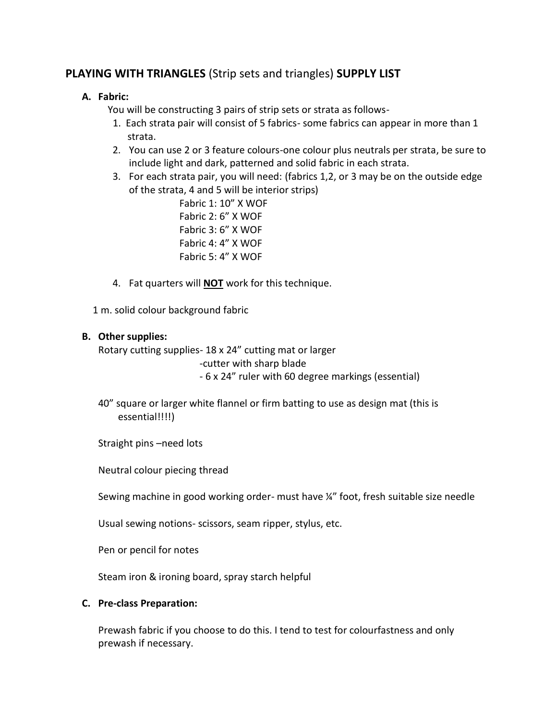# **PLAYING WITH TRIANGLES** (Strip sets and triangles) **SUPPLY LIST**

## **A. Fabric:**

You will be constructing 3 pairs of strip sets or strata as follows-

- 1. Each strata pair will consist of 5 fabrics- some fabrics can appear in more than 1 strata.
- 2. You can use 2 or 3 feature colours-one colour plus neutrals per strata, be sure to include light and dark, patterned and solid fabric in each strata.
- 3. For each strata pair, you will need: (fabrics 1,2, or 3 may be on the outside edge of the strata, 4 and 5 will be interior strips)

 Fabric 1: 10" X WOF Fabric 2: 6" X WOF Fabric 3: 6" X WOF Fabric 4: 4" X WOF Fabric 5: 4" X WOF

4. Fat quarters will **NOT** work for this technique.

1 m. solid colour background fabric

#### **B. Other supplies:**

Rotary cutting supplies- 18 x 24" cutting mat or larger

-cutter with sharp blade

- 6 x 24" ruler with 60 degree markings (essential)

- 40" square or larger white flannel or firm batting to use as design mat (this is essential!!!!)
- Straight pins –need lots

Neutral colour piecing thread

Sewing machine in good working order- must have ¼" foot, fresh suitable size needle

Usual sewing notions- scissors, seam ripper, stylus, etc.

Pen or pencil for notes

Steam iron & ironing board, spray starch helpful

#### **C. Pre-class Preparation:**

Prewash fabric if you choose to do this. I tend to test for colourfastness and only prewash if necessary.